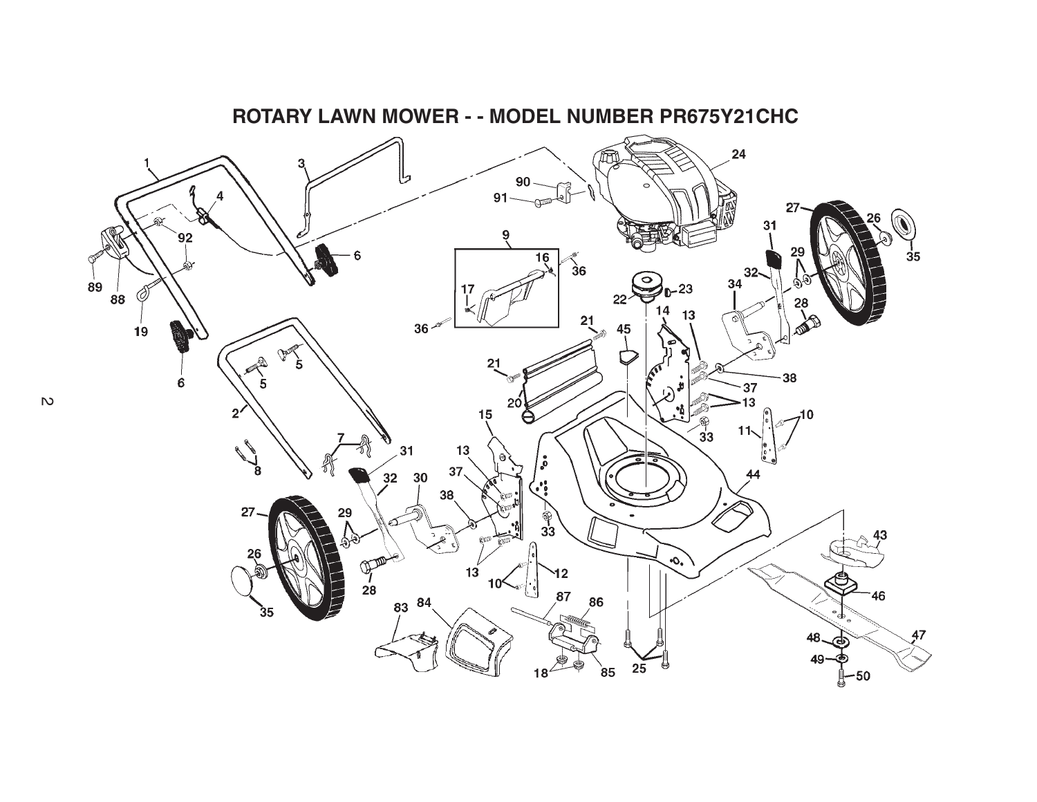

## **ROTARY LAWN MOWER - - MODEL NUMBER PR675Y21CHC**

 $\mathbb{R}^2$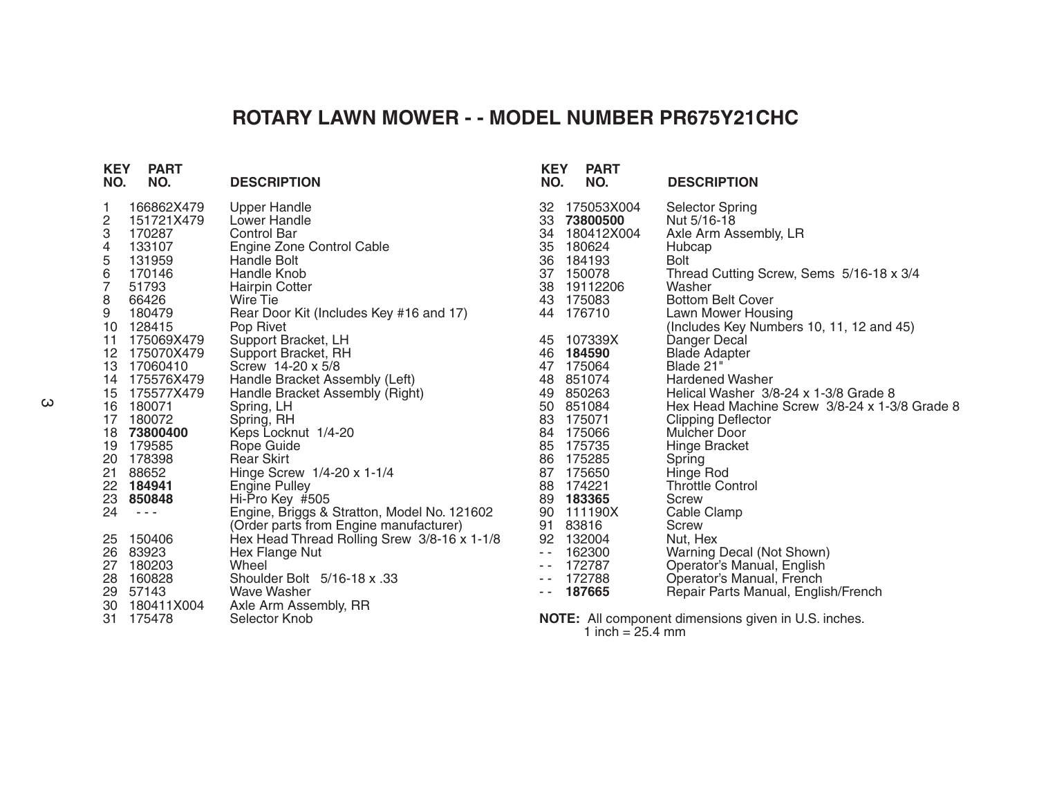## **ROTARY LAWN MOWER - - MODEL NUMBER PR675Y21CHC**

| NO.                                                                   | <b>KEY</b><br><b>PART</b><br>NO.                                                                                                                                                                                                                                                                                                                                        | <b>DESCRIPTION</b>                                                                                                                                                                                                                                                                                                                                                                                                                                                                                                                                                                                                       |
|-----------------------------------------------------------------------|-------------------------------------------------------------------------------------------------------------------------------------------------------------------------------------------------------------------------------------------------------------------------------------------------------------------------------------------------------------------------|--------------------------------------------------------------------------------------------------------------------------------------------------------------------------------------------------------------------------------------------------------------------------------------------------------------------------------------------------------------------------------------------------------------------------------------------------------------------------------------------------------------------------------------------------------------------------------------------------------------------------|
| 1<br>$\overline{\mathbf{c}}$<br>3<br>4<br>5<br>6<br>7<br>8<br>9<br>24 | 166862X479<br>151721X479<br>170287<br>133107<br>131959<br>170146<br>51793<br>66426<br>180479<br>10 128415<br>11 175069X479<br>12 175070X479<br>13 17060410<br>14 175576X479<br>16 180071<br>17 180072<br>18 73800400<br>19 179585<br>20 178398<br>21 88652<br>22 184941<br>23 850848<br>$\frac{1}{2} \left( \frac{1}{2} \right) \frac{1}{2} \left( \frac{1}{2} \right)$ | <b>Upper Handle</b><br>Lower Handle<br><b>Control Bar</b><br>Engine Zone Control Cable<br><b>Handle Bolt</b><br>Handle Knob<br>Hairpin Cotter<br><b>Wire Tie</b><br>Rear Door Kit (Includes Key #16 and 17)<br>Pop Rivet<br>Support Bracket, LH<br>Support Bracket, RH<br>Screw 14-20 x 5/8<br>Handle Bracket Assembly (Left)<br>Handle Bracket Assembly (Right)<br>Spring, LH<br>Spring, RH<br>Keps Locknut 1/4-20<br>Rope Guide<br><b>Rear Skirt</b><br>Hinge Screw 1/4-20 x 1-1/4<br><b>Engine Pulley</b><br>Hi-Pro Key #505<br>Engine, Briggs & Stratton, Model No. 121602<br>(Order parts from Engine manufacturer) |
| 26                                                                    | 25 150406<br>83923                                                                                                                                                                                                                                                                                                                                                      | Hex Head Thread Rolling Srew 3/8-16 x 1-1/8<br>Hex Flange Nut                                                                                                                                                                                                                                                                                                                                                                                                                                                                                                                                                            |
|                                                                       | 27 180203<br>28 160828                                                                                                                                                                                                                                                                                                                                                  | Wheel<br>Shoulder Bolt 5/16-18 x .33                                                                                                                                                                                                                                                                                                                                                                                                                                                                                                                                                                                     |
|                                                                       | 29 57143                                                                                                                                                                                                                                                                                                                                                                | Wave Washer                                                                                                                                                                                                                                                                                                                                                                                                                                                                                                                                                                                                              |
|                                                                       | 30 180411X004                                                                                                                                                                                                                                                                                                                                                           | Axle Arm Assembly, RR                                                                                                                                                                                                                                                                                                                                                                                                                                                                                                                                                                                                    |
| 31                                                                    | 175478                                                                                                                                                                                                                                                                                                                                                                  | Selector Knob                                                                                                                                                                                                                                                                                                                                                                                                                                                                                                                                                                                                            |

| NO.                                                                                                                                                                                                                                                                                                                                                                                                                                                                                                                                                                                | <b>KEY</b><br><b>PART</b><br>NO.                                                                                                                                                                            | <b>DESCRIPTION</b>                                                                                                                                                                                                                                                                                                                                                                                                                                                              |
|------------------------------------------------------------------------------------------------------------------------------------------------------------------------------------------------------------------------------------------------------------------------------------------------------------------------------------------------------------------------------------------------------------------------------------------------------------------------------------------------------------------------------------------------------------------------------------|-------------------------------------------------------------------------------------------------------------------------------------------------------------------------------------------------------------|---------------------------------------------------------------------------------------------------------------------------------------------------------------------------------------------------------------------------------------------------------------------------------------------------------------------------------------------------------------------------------------------------------------------------------------------------------------------------------|
| 32<br>34<br>35<br>36<br>37                                                                                                                                                                                                                                                                                                                                                                                                                                                                                                                                                         | 175053X004<br>33 73800500<br>180412X004<br>180624<br>184193<br>150078<br>38 19112206<br>43 175083<br>44 176710                                                                                              | <b>Selector Spring</b><br>Nut 5/16-18<br>Axle Arm Assembly, LR<br>Hubcap<br>Bolt<br>Thread Cutting Screw, Sems 5/16-18 x 3/4<br>Washer<br><b>Bottom Belt Cover</b><br>Lawn Mower Housing<br>(Includes Key Numbers 10, 11, 12 and 45)                                                                                                                                                                                                                                            |
| 45<br>46<br>47<br>48<br>49<br>50<br>84<br>85<br>87<br>88<br>89<br>90<br>91<br>92<br>$\sim$ $\sim$<br>$\sim$ $\sim$<br>$\sim$ $-$<br>$\frac{1}{2} \left( \frac{1}{2} \right) + \frac{1}{2} \left( \frac{1}{2} \right) + \frac{1}{2} \left( \frac{1}{2} \right) + \frac{1}{2} \left( \frac{1}{2} \right) + \frac{1}{2} \left( \frac{1}{2} \right) + \frac{1}{2} \left( \frac{1}{2} \right) + \frac{1}{2} \left( \frac{1}{2} \right) + \frac{1}{2} \left( \frac{1}{2} \right) + \frac{1}{2} \left( \frac{1}{2} \right) + \frac{1}{2} \left( \frac{1}{2} \right) + \frac{1}{2} \left($ | 107339X<br>184590<br>175064<br>851074<br>850263<br>851084<br>83 175071<br>175066<br>175735<br>86 175285<br>175650<br>174221<br>183365<br>111190X<br>83816<br>132004<br>162300<br>172787<br>172788<br>187665 | Danger Decal<br><b>Blade Adapter</b><br>Blade 21"<br><b>Hardened Washer</b><br>Helical Washer 3/8-24 x 1-3/8 Grade 8<br>Hex Head Machine Screw 3/8-24 x 1-3/8 Grade 8<br><b>Clipping Deflector</b><br><b>Mulcher Door</b><br><b>Hinge Bracket</b><br>Spring<br>Hinge Rod<br><b>Throttle Control</b><br>Screw<br>Cable Clamp<br>Screw<br>Nut, Hex<br>Warning Decal (Not Shown)<br>Operator's Manual, English<br>Operator's Manual, French<br>Repair Parts Manual, English/French |
|                                                                                                                                                                                                                                                                                                                                                                                                                                                                                                                                                                                    |                                                                                                                                                                                                             |                                                                                                                                                                                                                                                                                                                                                                                                                                                                                 |

**NOTE:** All component dimensions given in U.S. inches. 1 inch = 25.4 mm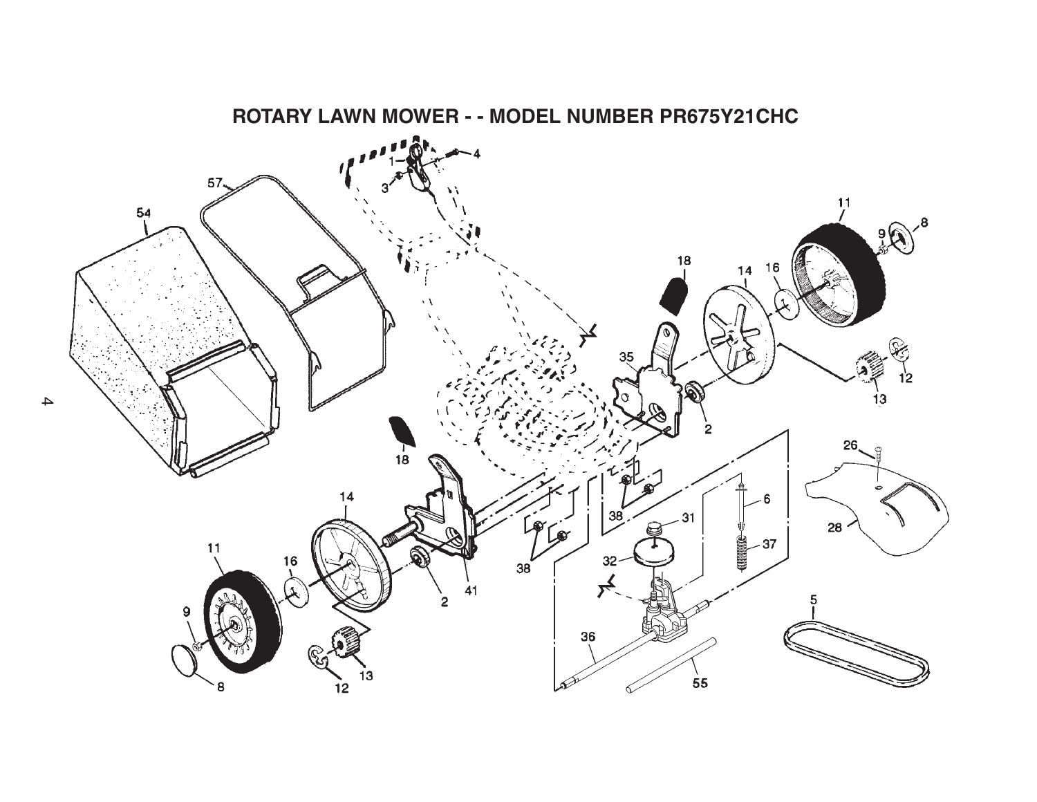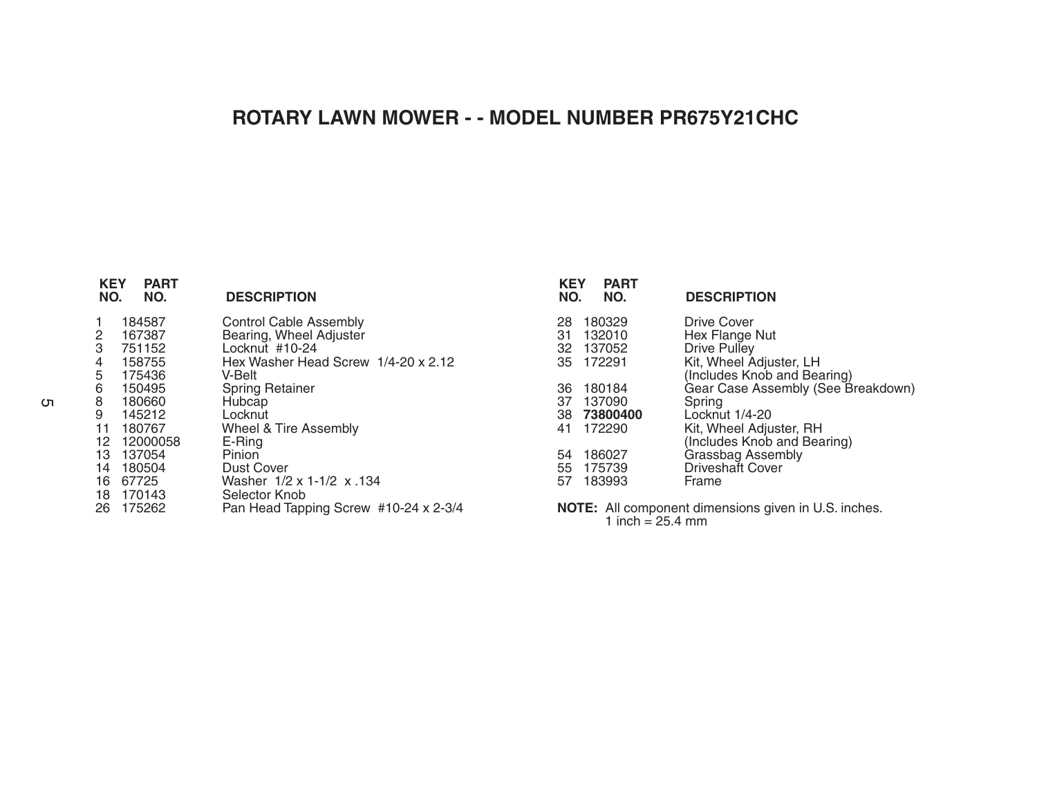## **ROTARY LAWN MOWER - - MODEL NUMBER PR675Y21CHC**

| <b>KEY</b><br><b>PART</b><br>NO.<br>NO.                                                                                                                                                                                              | <b>DESCRIPTION</b>                                                                                                                                                                                                                                                                                                   |
|--------------------------------------------------------------------------------------------------------------------------------------------------------------------------------------------------------------------------------------|----------------------------------------------------------------------------------------------------------------------------------------------------------------------------------------------------------------------------------------------------------------------------------------------------------------------|
| 1<br>184587<br>$\frac{2}{3}$<br>167387<br>751152<br>$\frac{4}{5}$<br>158755<br>175436<br>6<br>150495<br>8<br>180660<br>9<br>145212<br>11 180767<br>12 12000058<br>13 137054<br>180504<br>14<br>16 67725<br>18 170143<br>175262<br>26 | Control Cable Assembly<br>Bearing, Wheel Adjuster<br>Locknut #10-24<br>Hex Washer Head Screw 1/4-20 x 2.12<br>V-Belt<br><b>Spring Retainer</b><br>Hubcap<br>Locknut<br>Wheel & Tire Assembly<br>E-Ring<br>Pinion<br>Dust Cover<br>Washer 1/2 x 1-1/2 x 134<br>Selector Knob<br>Pan Head Tapping Screw #10-24 x 2-3/4 |
|                                                                                                                                                                                                                                      |                                                                                                                                                                                                                                                                                                                      |

| <b>KEY</b><br>NO. | <b>PART</b><br>NO.                            | <b>DESCRIPTION</b>                                                                                                       |
|-------------------|-----------------------------------------------|--------------------------------------------------------------------------------------------------------------------------|
| 28                | 180329<br>31 132010<br>32 137052<br>35 172291 | Drive Cover<br>Hex Flange Nut<br>Drive Pulley<br>Kit, Wheel Adjuster, LH<br>(Includes Knob and Bearing)                  |
| 36<br>37          | 180184<br>137090<br>38 73800400<br>41 172290  | Gear Case Assembly (See Breakdown)<br>Spring<br>Locknut 1/4-20<br>Kit, Wheel Adjuster, RH<br>(Includes Knob and Bearing) |
| 54                | 186027<br>55 175739<br>57 183993              | Grassbag Assembly<br><b>Driveshaft Cover</b><br>Frame                                                                    |

**NOTE:** All component dimensions given in U.S. inches. 1 inch = 25.4 mm